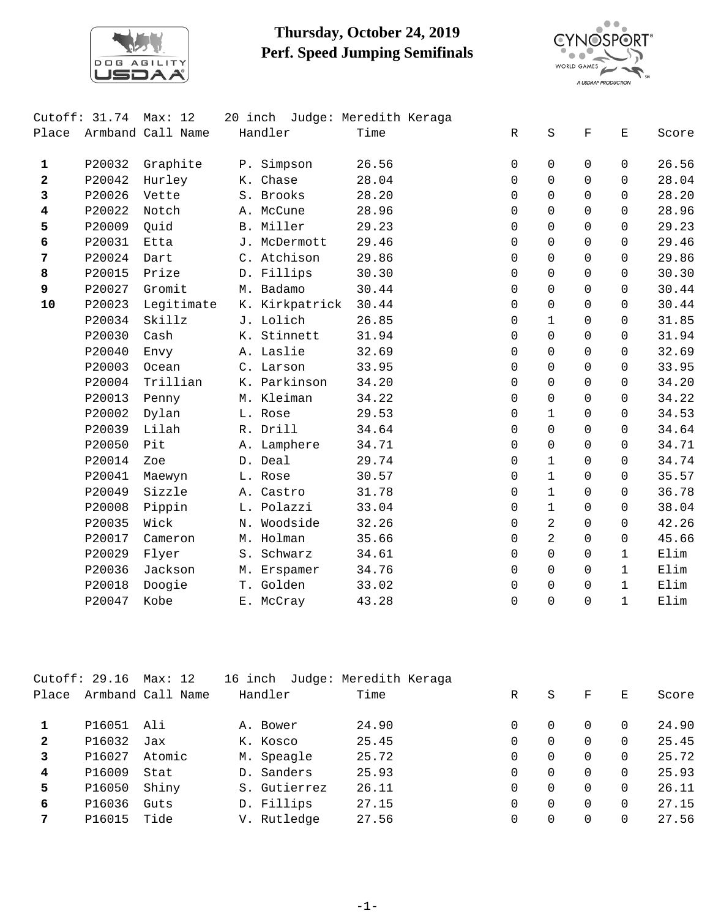

## **Thursday, October 24, 2019 Perf. Speed Jumping Semifinals**



|                         | Cutoff: $31.74$ | Max: 12           |                | 20 inch Judge: Meredith Keraga |              |                |             |              |       |
|-------------------------|-----------------|-------------------|----------------|--------------------------------|--------------|----------------|-------------|--------------|-------|
| Place                   |                 | Armband Call Name | Handler        | Time                           | $\mathbb{R}$ | $\rm S$        | $\mathbf F$ | Е            | Score |
| $\mathbf{1}$            | P20032          | Graphite          | P. Simpson     | 26.56                          | $\Omega$     | $\Omega$       | $\Omega$    | $\Omega$     | 26.56 |
| $\overline{\mathbf{2}}$ | P20042          | Hurley            | K. Chase       | 28.04                          | $\mathbf 0$  | $\Omega$       | $\Omega$    | $\Omega$     | 28.04 |
| 3                       | P20026          | Vette             | S. Brooks      | 28.20                          | $\Omega$     | $\Omega$       | $\Omega$    | $\Omega$     | 28.20 |
| 4                       | P20022          | Notch             | A. McCune      | 28.96                          | $\mathbf 0$  | $\Omega$       | $\Omega$    | 0            | 28.96 |
| 5                       | P20009          | Quid              | B. Miller      | 29.23                          | 0            | 0              | $\Omega$    | $\Omega$     | 29.23 |
| 6                       | P20031          | Etta              | J. McDermott   | 29.46                          | $\Omega$     | $\Omega$       | $\Omega$    | $\Omega$     | 29.46 |
| 7                       | P20024          | Dart              | C. Atchison    | 29.86                          | $\Omega$     | $\Omega$       | $\Omega$    | $\Omega$     | 29.86 |
| 8                       | P20015          | Prize             | D. Fillips     | 30.30                          | $\Omega$     | $\Omega$       | $\Omega$    | $\Omega$     | 30.30 |
| 9                       | P20027          | Gromit            | M. Badamo      | 30.44                          | $\Omega$     | $\Omega$       | $\Omega$    | $\Omega$     | 30.44 |
| ${\bf 10}$              | P20023          | Legitimate        | K. Kirkpatrick | 30.44                          | $\mathbf 0$  | $\Omega$       | $\Omega$    | $\Omega$     | 30.44 |
|                         | P20034          | Skillz            | J. Lolich      | 26.85                          | $\Omega$     | $\mathbf{1}$   | $\Omega$    | $\Omega$     | 31.85 |
|                         | P20030          | Cash              | K. Stinnett    | 31.94                          | $\Omega$     | $\Omega$       | $\Omega$    | $\Omega$     | 31.94 |
|                         | P20040          | Envy              | A. Laslie      | 32.69                          | 0            | 0              | $\Omega$    | $\Omega$     | 32.69 |
|                         | P20003          | Ocean             | C. Larson      | 33.95                          | $\Omega$     | $\Omega$       | $\Omega$    | 0            | 33.95 |
|                         | P20004          | Trillian          | K. Parkinson   | 34.20                          | $\Omega$     | $\Omega$       | $\Omega$    | $\Omega$     | 34.20 |
|                         | P20013          | Penny             | M. Kleiman     | 34.22                          | $\Omega$     | $\Omega$       | $\Omega$    | $\Omega$     | 34.22 |
|                         | P20002          | Dylan             | L. Rose        | 29.53                          | $\Omega$     | $\mathbf{1}$   | $\Omega$    | $\Omega$     | 34.53 |
|                         | P20039          | Lilah             | R. Drill       | 34.64                          | $\mathbf 0$  | 0              | $\Omega$    | $\Omega$     | 34.64 |
|                         | P20050          | Pit               | A. Lamphere    | 34.71                          | $\Omega$     | $\Omega$       | $\Omega$    | $\Omega$     | 34.71 |
|                         | P20014          | Zoe               | D. Deal        | 29.74                          | $\mathbf 0$  | $\mathbf{1}$   | $\Omega$    | 0            | 34.74 |
|                         | P20041          | Maewyn            | L. Rose        | 30.57                          | $\mathbf 0$  | $\mathbf{1}$   | $\Omega$    | $\Omega$     | 35.57 |
|                         | P20049          | Sizzle            | A. Castro      | 31.78                          | $\Omega$     | $\mathbf{1}$   | $\Omega$    | 0            | 36.78 |
|                         | P20008          | Pippin            | L. Polazzi     | 33.04                          | $\Omega$     | $\mathbf{1}$   | $\Omega$    | $\Omega$     | 38.04 |
|                         | P20035          | Wick              | N. Woodside    | 32.26                          | $\Omega$     | 2              | $\Omega$    | $\Omega$     | 42.26 |
|                         | P20017          | Cameron           | M. Holman      | 35.66                          | $\Omega$     | $\overline{2}$ | $\Omega$    | $\Omega$     | 45.66 |
|                         | P20029          | Flyer             | S. Schwarz     | 34.61                          | $\mathbf 0$  | 0              | $\Omega$    | $\mathbf{1}$ | Elim  |
|                         | P20036          | Jackson           | M. Erspamer    | 34.76                          | $\Omega$     | $\Omega$       | $\Omega$    | $\mathbf{1}$ | Elim  |
|                         | P20018          | Doogie            | T. Golden      | 33.02                          | $\Omega$     | $\Omega$       | $\Omega$    | $\mathbf{1}$ | Elim  |
|                         | P20047          | Kobe              | E. McCray      | 43.28                          | $\Omega$     | $\Omega$       | $\Omega$    | $\mathbf{1}$ | Elim  |

|       | Cutoff: 29.16 | Max: 12           | 16 inch      | Judge: Meredith Keraga |   |          |   |   |       |
|-------|---------------|-------------------|--------------|------------------------|---|----------|---|---|-------|
| Place |               | Armband Call Name | Handler      | Time                   | R | S        | F | E | Score |
|       | P16051        | Ali               | A. Bower     | 24.90                  |   | $\Omega$ | 0 | 0 | 24.90 |
| 2     | P16032        | Jax               | K. Kosco     | 25.45                  | 0 | $\Omega$ | 0 | 0 | 25.45 |
| 3     | P16027        | Atomic            | M. Speagle   | 25.72                  | 0 | $\Omega$ | 0 | 0 | 25.72 |
| 4     | P16009        | Stat              | D. Sanders   | 25.93                  | 0 | $\Omega$ | 0 | 0 | 25.93 |
| 5     | P16050        | Shiny             | S. Gutierrez | 26.11                  | 0 | $\Omega$ | 0 | 0 | 26.11 |
| 6     | P16036        | Guts              | D. Fillips   | 27.15                  | 0 | $\Omega$ | 0 | 0 | 27.15 |
|       | P16015        | Tide              | V. Rutledge  | 27.56                  | 0 | $\Omega$ | 0 | 0 | 27.56 |
|       |               |                   |              |                        |   |          |   |   |       |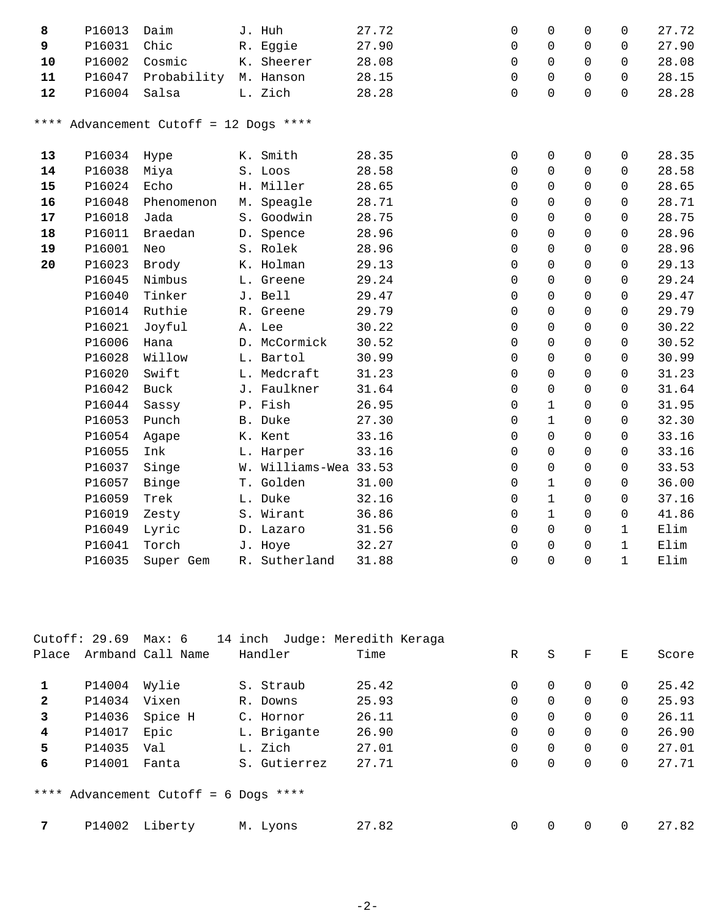| 8  | P16013 | Daim                                   | J. Huh                | 27.72 | $\mathbf 0$ | $\Omega$            | $\Omega$     | 0            | 27.72 |
|----|--------|----------------------------------------|-----------------------|-------|-------------|---------------------|--------------|--------------|-------|
| 9  | P16031 | Chic                                   | R. Eggie              | 27.90 | $\mathbf 0$ | $\Omega$            | $\Omega$     | $\Omega$     | 27.90 |
| 10 | P16002 | Cosmic                                 | K. Sheerer            | 28.08 | $\mathbf 0$ | $\Omega$            | $\Omega$     | $\Omega$     | 28.08 |
| 11 | P16047 | Probability M. Hanson                  |                       | 28.15 | $\mathbf 0$ | $\Omega$            | $\Omega$     | $\Omega$     | 28.15 |
| 12 | P16004 | Salsa                                  | L. Zich               | 28.28 | $\mathbf 0$ | 0                   | 0            | $\mathbf 0$  | 28.28 |
|    |        | **** Advancement Cutoff = 12 Dogs **** |                       |       |             |                     |              |              |       |
| 13 | P16034 | Hype                                   | K. Smith              | 28.35 | 0           | 0                   | 0            | 0            | 28.35 |
| 14 | P16038 | Miya                                   | S. Loos               | 28.58 | 0           | 0                   | $\mathsf{O}$ | $\mathbf 0$  | 28.58 |
| 15 | P16024 | Echo                                   | H. Miller             | 28.65 | $\mathbf 0$ | 0                   | $\mathbf 0$  | $\mathbf 0$  | 28.65 |
| 16 | P16048 | Phenomenon                             | M. Speagle            | 28.71 | 0           | $\Omega$            | $\Omega$     | $\Omega$     | 28.71 |
| 17 | P16018 | Jada                                   | S. Goodwin            | 28.75 | $\mathbf 0$ | 0                   | 0            | $\Omega$     | 28.75 |
| 18 | P16011 | Braedan                                | D. Spence             | 28.96 | 0           | 0                   | $\mathsf{O}$ | $\mathbf 0$  | 28.96 |
| 19 | P16001 | Neo                                    | S. Rolek              | 28.96 | $\mathbf 0$ | 0                   | $\mathsf{O}$ | $\mathbf 0$  | 28.96 |
| 20 | P16023 | Brody                                  | K. Holman             | 29.13 | $\mathbf 0$ | 0                   | $\mathsf{O}$ | $\mathbf 0$  | 29.13 |
|    | P16045 | Nimbus                                 | L. Greene             | 29.24 | $\mathbf 0$ | 0                   | $\mathbf 0$  | $\Omega$     | 29.24 |
|    | P16040 | Tinker                                 | J. Bell               | 29.47 | $\mathbf 0$ | 0                   | $\mathsf{O}$ | $\mathbf 0$  | 29.47 |
|    | P16014 | Ruthie                                 | R. Greene             | 29.79 | $\Omega$    | $\Omega$            | $\Omega$     | $\Omega$     | 29.79 |
|    | P16021 | Joyful                                 | A. Lee                | 30.22 | $\mathbf 0$ | $\Omega$            | $\Omega$     | $\Omega$     | 30.22 |
|    | P16006 | Hana                                   | D. McCormick          | 30.52 | 0           | 0                   | 0            | $\mathbf 0$  | 30.52 |
|    | P16028 | Willow                                 | L. Bartol             | 30.99 | 0           | 0                   | $\mathsf{O}$ | $\mathbf 0$  | 30.99 |
|    | P16020 | Swift                                  | L. Medcraft           | 31.23 | 0           | 0                   | $\mathsf{O}$ | $\mathbf 0$  | 31.23 |
|    | P16042 | Buck                                   | J. Faulkner           | 31.64 | 0           | 0                   | $\mathsf{O}$ | 0            | 31.64 |
|    | P16044 | Sassy                                  | P. Fish               | 26.95 | 0           | $\mathbf 1$         | $\mathbf 0$  | $\Omega$     | 31.95 |
|    | P16053 | Punch                                  | B. Duke               | 27.30 | $\Omega$    | $\mathbf{1}$        | $\Omega$     | $\mathbf 0$  | 32.30 |
|    | P16054 | Agape                                  | K. Kent               | 33.16 | $\mathbf 0$ | 0                   | $\Omega$     | $\Omega$     | 33.16 |
|    | P16055 | Ink                                    | L. Harper             | 33.16 | $\mathbf 0$ | 0                   | 0            | $\mathbf 0$  | 33.16 |
|    | P16037 | Singe                                  | W. Williams-Wea 33.53 |       | 0           | $\mathsf{O}\xspace$ | 0            | $\mathbf 0$  | 33.53 |
|    | P16057 | Binge                                  | T. Golden             | 31.00 | 0           | $\mathbf 1$         | $\mathsf{O}$ | $\mathbf 0$  | 36.00 |
|    | P16059 | Trek                                   | L. Duke               | 32.16 | 0           | $\mathbf 1$         | $\mathbf 0$  | $\Omega$     | 37.16 |
|    | P16019 | Zesty                                  | S. Wirant             | 36.86 | $\mathbf 0$ | $\mathbf{1}$        | $\mathbf 0$  | $\mathbf 0$  | 41.86 |
|    | P16049 | Lyric                                  | D. Lazaro             | 31.56 | $\mathbf 0$ | $\Omega$            | $\Omega$     | $\mathbf{1}$ | Elim  |
|    | P16041 | Torch                                  | J. Hoye               | 32.27 | $\mathbf 0$ | $\Omega$            | $\Omega$     | $\mathbf{1}$ | Elim  |
|    | P16035 | Super Gem                              | R. Sutherland         | 31.88 | $\mathbf 0$ | 0                   | $\Omega$     | $\mathbf 1$  | Elim  |

|       | Cutoff: 29.69 Max: 6 |                                       |              | 14 inch Judge: Meredith Keraga |   |   |             |          |       |
|-------|----------------------|---------------------------------------|--------------|--------------------------------|---|---|-------------|----------|-------|
| Place |                      | Armband Call Name                     | Handler      | Time                           | R | S | $\mathbf F$ | Е        | Score |
|       | P14004               | Wylie                                 | S. Straub    | 25.42                          | 0 | 0 | $\Omega$    | $\Omega$ | 25.42 |
| 2     | P14034               | Vixen                                 | R. Downs     | 25.93                          | 0 | 0 | $\Omega$    | 0        | 25.93 |
| 3     | P14036               | Spice H                               | C. Hornor    | 26.11                          | 0 | 0 | $\mathbf 0$ | 0        | 26.11 |
| 4     | P14017               | Epic                                  | L. Brigante  | 26.90                          | 0 | 0 | $\mathbf 0$ | 0        | 26.90 |
| 5     | P14035               | Val                                   | L. Zich      | 27.01                          | 0 | 0 | $\mathbf 0$ | $\Omega$ | 27.01 |
| 6     | P14001               | Fanta                                 | S. Gutierrez | 27.71                          | 0 | 0 | 0           | 0        | 27.71 |
|       |                      | **** Advancement Cutoff = 6 Dogs **** |              |                                |   |   |             |          |       |
|       | P14002               | Liberty                               | M. Lyons     | 27.82                          | 0 | 0 | $\Omega$    | $\Omega$ | 27.82 |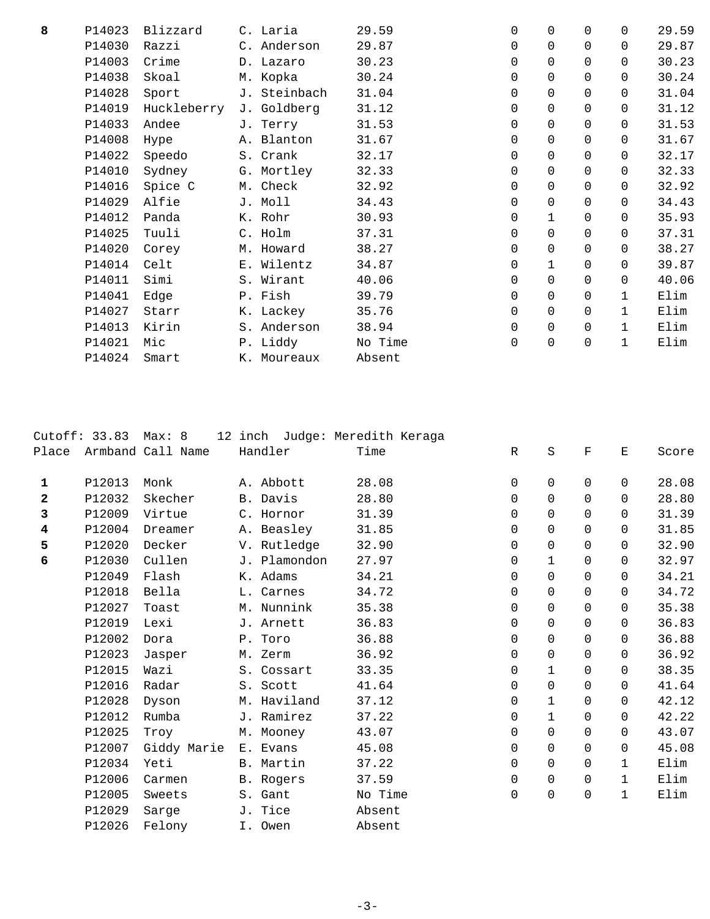| 8 | P14023 | Blizzard    | C. Laria     | 29.59   | 0 | $\mathbf 0$  | $\Omega$    | $\Omega$     | 29.59 |
|---|--------|-------------|--------------|---------|---|--------------|-------------|--------------|-------|
|   | P14030 | Razzi       | C. Anderson  | 29.87   | 0 | $\mathbf 0$  | 0           | $\Omega$     | 29.87 |
|   | P14003 | Crime       | D. Lazaro    | 30.23   | 0 | 0            | 0           | 0            | 30.23 |
|   | P14038 | Skoal       | M. Kopka     | 30.24   | 0 | 0            | $\Omega$    | $\Omega$     | 30.24 |
|   | P14028 | Sport       | J. Steinbach | 31.04   | 0 | $\mathbf 0$  | 0           | $\Omega$     | 31.04 |
|   | P14019 | Huckleberry | J. Goldberg  | 31.12   | 0 | $\mathbf 0$  | $\Omega$    | $\Omega$     | 31.12 |
|   | P14033 | Andee       | J. Terry     | 31.53   | 0 | $\mathbf 0$  | 0           | 0            | 31.53 |
|   | P14008 | Hype        | A. Blanton   | 31.67   | 0 | $\mathbf 0$  | 0           | $\Omega$     | 31.67 |
|   | P14022 | Speedo      | S. Crank     | 32.17   | 0 | $\mathbf 0$  | $\Omega$    | $\Omega$     | 32.17 |
|   | P14010 | Sydney      | G. Mortley   | 32.33   | 0 | $\mathbf 0$  | $\Omega$    | $\Omega$     | 32.33 |
|   | P14016 | Spice C     | M. Check     | 32.92   | 0 | 0            | 0           | 0            | 32.92 |
|   | P14029 | Alfie       | J. Moll      | 34.43   | 0 | 0            | $\Omega$    | $\Omega$     | 34.43 |
|   | P14012 | Panda       | K. Rohr      | 30.93   | 0 | $\mathbf{1}$ | $\Omega$    | $\Omega$     | 35.93 |
|   | P14025 | Tuuli       | C. Holm      | 37.31   | 0 | $\mathbf 0$  | 0           | $\Omega$     | 37.31 |
|   | P14020 | Corey       | M. Howard    | 38.27   | 0 | $\mathbf 0$  | $\Omega$    | $\Omega$     | 38.27 |
|   | P14014 | Celt        | E. Wilentz   | 34.87   | 0 | $\mathbf{1}$ | 0           | $\Omega$     | 39.87 |
|   | P14011 | Simi        | S. Wirant    | 40.06   | 0 | $\mathbf 0$  | $\Omega$    | $\Omega$     | 40.06 |
|   | P14041 | Edge        | P. Fish      | 39.79   | 0 | $\mathbf 0$  | 0           | $\mathbf{1}$ | Elim  |
|   | P14027 | Starr       | K. Lackey    | 35.76   | 0 | $\mathbf 0$  | 0           | $\mathbf{1}$ | Elim  |
|   | P14013 | Kirin       | S. Anderson  | 38.94   | 0 | $\mathbf 0$  | 0           | $\mathbf{1}$ | Elim  |
|   | P14021 | Mic         | P. Liddy     | No Time | 0 | $\mathsf 0$  | $\mathbf 0$ | $\mathbf{1}$ | Elim  |
|   | P14024 | Smart       | K. Moureaux  | Absent  |   |              |             |              |       |
|   |        |             |              |         |   |              |             |              |       |

|              | Cutoff: 33.83 | Max: 8            | 12 inch Judge: Meredith Keraga |         |              |              |                    |              |       |
|--------------|---------------|-------------------|--------------------------------|---------|--------------|--------------|--------------------|--------------|-------|
| Place        |               | Armband Call Name | Handler                        | Time    | $\mathbb{R}$ | S            | $\mathbf{F}% _{0}$ | Е            | Score |
| $\mathbf{1}$ | P12013        | Monk              | A. Abbott                      | 28.08   | $\mathbf 0$  | 0            | 0                  | 0            | 28.08 |
| 2            | P12032        | Skecher           | B. Davis                       | 28.80   | $\Omega$     | $\Omega$     | $\Omega$           | 0            | 28.80 |
| 3            | P12009        | Virtue            | C. Hornor                      | 31.39   | $\Omega$     | $\Omega$     | $\Omega$           | $\Omega$     | 31.39 |
| 4            | P12004        | Dreamer           | A. Beasley                     | 31.85   | $\Omega$     | $\Omega$     | $\Omega$           | $\Omega$     | 31.85 |
| 5            | P12020        | Decker            | V. Rutledge                    | 32.90   | $\Omega$     | $\Omega$     | $\Omega$           | 0            | 32.90 |
| 6            | P12030        | Cullen            | J. Plamondon                   | 27.97   | $\mathbf 0$  | $\mathbf 1$  | $\Omega$           | 0            | 32.97 |
|              | P12049        | Flash             | K. Adams                       | 34.21   | 0            | $\Omega$     | $\Omega$           | $\Omega$     | 34.21 |
|              | P12018        | Bella             | L. Carnes                      | 34.72   | $\Omega$     | $\Omega$     | $\Omega$           | 0            | 34.72 |
|              | P12027        | Toast             | M. Nunnink                     | 35.38   | $\Omega$     | $\Omega$     | $\Omega$           | 0            | 35.38 |
|              | P12019        | Lexi              | J. Arnett                      | 36.83   | $\Omega$     | $\Omega$     | $\Omega$           | 0            | 36.83 |
|              | P12002        | Dora              | P. Toro                        | 36.88   | $\Omega$     | $\Omega$     | $\Omega$           | $\Omega$     | 36.88 |
|              | P12023        | Jasper            | M. Zerm                        | 36.92   | $\mathbf 0$  | $\Omega$     | $\Omega$           | 0            | 36.92 |
|              | P12015        | Wazi              | S. Cossart                     | 33.35   | $\Omega$     | $\mathbf{1}$ | $\Omega$           | 0            | 38.35 |
|              | P12016        | Radar             | S. Scott                       | 41.64   | $\Omega$     | $\Omega$     | $\Omega$           | 0            | 41.64 |
|              | P12028        | Dyson             | M. Haviland                    | 37.12   | $\Omega$     | $\mathbf{1}$ | $\Omega$           | 0            | 42.12 |
|              | P12012        | Rumba             | J. Ramirez                     | 37.22   | $\Omega$     | $\mathbf{1}$ | $\Omega$           | $\Omega$     | 42.22 |
|              | P12025        | Troy              | M. Mooney                      | 43.07   | $\Omega$     | $\Omega$     | $\Omega$           | $\Omega$     | 43.07 |
|              | P12007        | Giddy Marie       | E. Evans                       | 45.08   | $\Omega$     | $\Omega$     | $\Omega$           | $\Omega$     | 45.08 |
|              | P12034        | Yeti              | B. Martin                      | 37.22   | $\Omega$     | $\Omega$     | $\Omega$           | $\mathbf{1}$ | Elim  |
|              | P12006        | Carmen            | B. Rogers                      | 37.59   | 0            | $\Omega$     | $\Omega$           | $\mathbf{1}$ | Elim  |
|              | P12005        | Sweets            | S. Gant                        | No Time | 0            | $\mathbf 0$  | 0                  | 1            | Elim  |
|              | P12029        | Sarge             | J. Tice                        | Absent  |              |              |                    |              |       |
|              | P12026        | Felony            | I. Owen                        | Absent  |              |              |                    |              |       |
|              |               |                   |                                |         |              |              |                    |              |       |